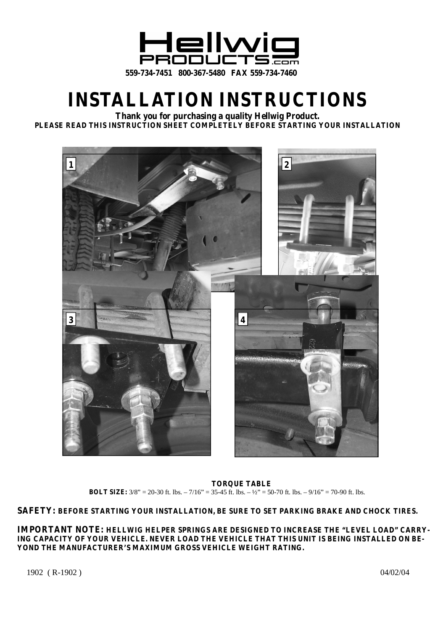

## **INSTALLATION INSTRUCTIONS**

**Thank you for purchasing a quality Hellwig Product. PLEASE READ THIS INSTRUCTION SHEET COMPLETELY BEFORE STARTING YOUR INSTALLATION**



**TORQUE TABLE BOLT SIZE:**  $3/8$ " = 20-30 ft. lbs. – 7/16" = 35-45 ft. lbs. –  $\frac{1}{2}$ " = 50-70 ft. lbs. – 9/16" = 70-90 ft. lbs.

**SAFETY: BEFORE STARTING YOUR INSTALLATION, BE SURE TO SET PARKING BRAKE AND CHOCK TIRES.**

**IMPORTANT NOTE: HELLWIG HELPER SPRINGS ARE DESIGNED TO INCREASE THE "LEVEL LOAD" CARRY-ING CAPACITY OF YOUR VEHICLE. NEVER LOAD THE VEHICLE THAT THIS UNIT IS BEING INSTALLED ON BE-YOND THE MANUFACTURER'S MAXIMUM GROSS VEHICLE WEIGHT RATING.**

1902 (R-1902) 04/02/04